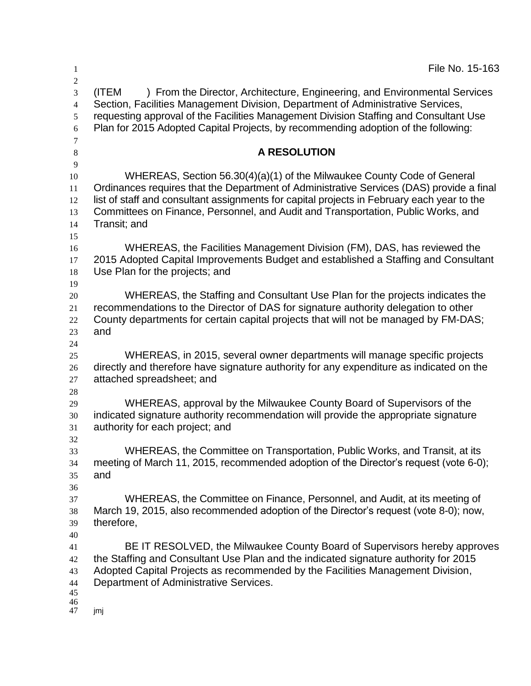| 1                                                           | File No. 15-163                                                                                                                                                                                                                                                                                                                                                        |
|-------------------------------------------------------------|------------------------------------------------------------------------------------------------------------------------------------------------------------------------------------------------------------------------------------------------------------------------------------------------------------------------------------------------------------------------|
| $\boldsymbol{2}$<br>3<br>$\overline{4}$<br>5<br>6<br>$\tau$ | ) From the Director, Architecture, Engineering, and Environmental Services<br>(ITEM<br>Section, Facilities Management Division, Department of Administrative Services,<br>requesting approval of the Facilities Management Division Staffing and Consultant Use<br>Plan for 2015 Adopted Capital Projects, by recommending adoption of the following:                  |
| $\,8\,$<br>$\overline{9}$                                   | <b>A RESOLUTION</b>                                                                                                                                                                                                                                                                                                                                                    |
| 10<br>11<br>12<br>13<br>14<br>15                            | WHEREAS, Section 56.30(4)(a)(1) of the Milwaukee County Code of General<br>Ordinances requires that the Department of Administrative Services (DAS) provide a final<br>list of staff and consultant assignments for capital projects in February each year to the<br>Committees on Finance, Personnel, and Audit and Transportation, Public Works, and<br>Transit; and |
| 16<br>17<br>18<br>19                                        | WHEREAS, the Facilities Management Division (FM), DAS, has reviewed the<br>2015 Adopted Capital Improvements Budget and established a Staffing and Consultant<br>Use Plan for the projects; and                                                                                                                                                                        |
| 20<br>21<br>22<br>23<br>24                                  | WHEREAS, the Staffing and Consultant Use Plan for the projects indicates the<br>recommendations to the Director of DAS for signature authority delegation to other<br>County departments for certain capital projects that will not be managed by FM-DAS;<br>and                                                                                                       |
| 25<br>26<br>27<br>28                                        | WHEREAS, in 2015, several owner departments will manage specific projects<br>directly and therefore have signature authority for any expenditure as indicated on the<br>attached spreadsheet; and                                                                                                                                                                      |
| 29<br>30<br>31                                              | WHEREAS, approval by the Milwaukee County Board of Supervisors of the<br>indicated signature authority recommendation will provide the appropriate signature<br>authority for each project; and                                                                                                                                                                        |
| 32<br>33<br>34<br>35<br>36                                  | WHEREAS, the Committee on Transportation, Public Works, and Transit, at its<br>meeting of March 11, 2015, recommended adoption of the Director's request (vote 6-0);<br>and                                                                                                                                                                                            |
| 37<br>38<br>39<br>40                                        | WHEREAS, the Committee on Finance, Personnel, and Audit, at its meeting of<br>March 19, 2015, also recommended adoption of the Director's request (vote 8-0); now,<br>therefore,                                                                                                                                                                                       |
| 41<br>42<br>43<br>44<br>45                                  | BE IT RESOLVED, the Milwaukee County Board of Supervisors hereby approves<br>the Staffing and Consultant Use Plan and the indicated signature authority for 2015<br>Adopted Capital Projects as recommended by the Facilities Management Division,<br>Department of Administrative Services.                                                                           |
| 46<br>47                                                    | jmj                                                                                                                                                                                                                                                                                                                                                                    |